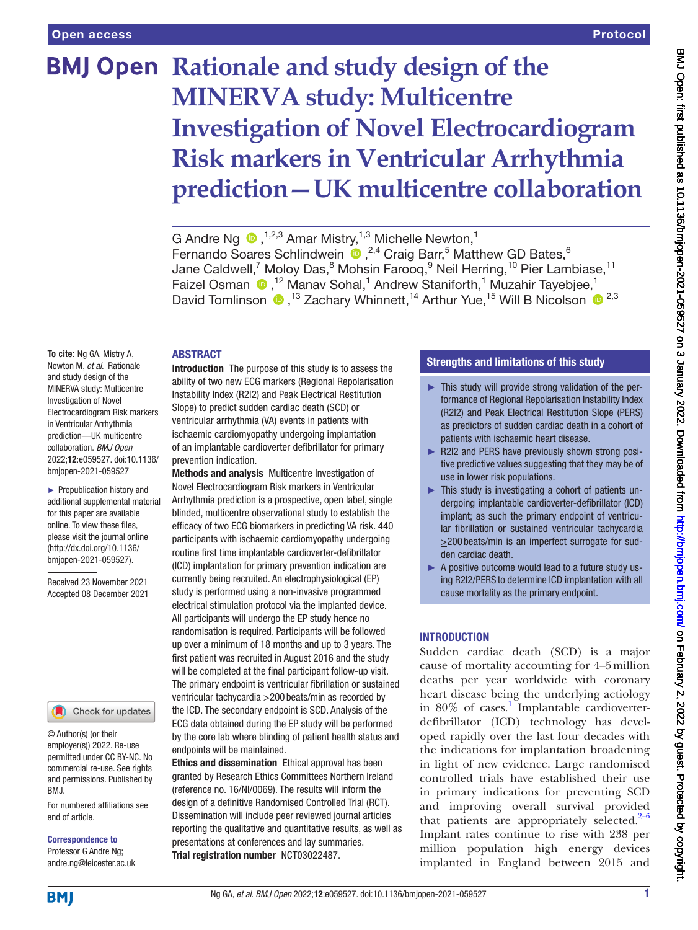# **BMJ Open Rationale and study design of the MINERVA study: Multicentre Investigation of Novel Electrocardiogram Risk markers in Ventricular Arrhythmia prediction—UK multicentre collaboration**

G Andre Ng  $\bullet$ , <sup>1,2,3</sup> Amar Mistry, <sup>1,3</sup> Michelle Newton,<sup>1</sup> Fernando Soares Schlindwein <sup>1, 2,4</sup> Craig Barr,<sup>5</sup> Matthew GD Bates,<sup>6</sup> Jane Caldwell,<sup>7</sup> Moloy Das,<sup>8</sup> Mohsin Farooq,<sup>9</sup> Neil Herring,<sup>10</sup> Pier Lambiase,<sup>11</sup> Faizel Osman <sup>®</sup>,<sup>12</sup> Manav Sohal,<sup>1</sup> Andrew Staniforth,<sup>1</sup> Muzahir Tayebjee,<sup>1</sup> David Tomlinson  $\bullet$ ,<sup>13</sup> Zachary Whinnett,<sup>14</sup> Arthur Yue,<sup>15</sup> Will B Nicolson  $\bullet$ <sup>2,3</sup>

#### ABSTRACT

**To cite:** Ng GA, Mistry A, Newton M, *et al*. Rationale and study design of the MINERVA study: Multicentre Investigation of Novel Electrocardiogram Risk markers in Ventricular Arrhythmia prediction—UK multicentre collaboration. *BMJ Open* 2022;12:e059527. doi:10.1136/ bmjopen-2021-059527

► Prepublication history and additional supplemental material for this paper are available online. To view these files, please visit the journal online [\(http://dx.doi.org/10.1136/](http://dx.doi.org/10.1136/bmjopen-2021-059527) [bmjopen-2021-059527](http://dx.doi.org/10.1136/bmjopen-2021-059527)).

Received 23 November 2021 Accepted 08 December 2021

#### Check for updates

© Author(s) (or their employer(s)) 2022. Re-use permitted under CC BY-NC. No commercial re-use. See rights and permissions. Published by BMJ.

For numbered affiliations see end of article.

Correspondence to Professor G Andre Ng; andre.ng@leicester.ac.uk

Introduction The purpose of this study is to assess the ability of two new ECG markers (Regional Repolarisation Instability Index (R2I2) and Peak Electrical Restitution Slope) to predict sudden cardiac death (SCD) or ventricular arrhythmia (VA) events in patients with ischaemic cardiomyopathy undergoing implantation of an implantable cardioverter defibrillator for primary prevention indication.

Methods and analysis Multicentre Investigation of Novel Electrocardiogram Risk markers in Ventricular Arrhythmia prediction is a prospective, open label, single blinded, multicentre observational study to establish the efficacy of two ECG biomarkers in predicting VA risk. 440 participants with ischaemic cardiomyopathy undergoing routine first time implantable cardioverter-defibrillator (ICD) implantation for primary prevention indication are currently being recruited. An electrophysiological (EP) study is performed using a non-invasive programmed electrical stimulation protocol via the implanted device. All participants will undergo the EP study hence no randomisation is required. Participants will be followed up over a minimum of 18 months and up to 3 years. The first patient was recruited in August 2016 and the study will be completed at the final participant follow-up visit. The primary endpoint is ventricular fibrillation or sustained ventricular tachycardia >200 beats/min as recorded by the ICD. The secondary endpoint is SCD. Analysis of the ECG data obtained during the EP study will be performed by the core lab where blinding of patient health status and endpoints will be maintained.

Ethics and dissemination Ethical approval has been granted by Research Ethics Committees Northern Ireland (reference no. 16/NI/0069). The results will inform the design of a definitive Randomised Controlled Trial (RCT). Dissemination will include peer reviewed journal articles reporting the qualitative and quantitative results, as well as presentations at conferences and lay summaries. Trial registration number <NCT03022487>.

## Strengths and limitations of this study

- ► This study will provide strong validation of the performance of Regional Repolarisation Instability Index (R2I2) and Peak Electrical Restitution Slope (PERS) as predictors of sudden cardiac death in a cohort of patients with ischaemic heart disease.
- ► R2I2 and PERS have previously shown strong positive predictive values suggesting that they may be of use in lower risk populations.
- ► This study is investigating a cohort of patients undergoing implantable cardioverter-defibrillator (ICD) implant; as such the primary endpoint of ventricular fibrillation or sustained ventricular tachycardia  $\geq$ 200 beats/min is an imperfect surrogate for sudden cardiac death.
- ► A positive outcome would lead to a future study using R2I2/PERS to determine ICD implantation with all cause mortality as the primary endpoint.

#### **INTRODUCTION**

Sudden cardiac death (SCD) is a major cause of mortality accounting for 4–5million deaths per year worldwide with coronary heart disease being the underlying aetiology in 80% of cases.<sup>[1](#page-6-0)</sup> Implantable cardioverterdefibrillator (ICD) technology has developed rapidly over the last four decades with the indications for implantation broadening in light of new evidence. Large randomised controlled trials have established their use in primary indications for preventing SCD and improving overall survival provided that patients are appropriately selected. $2-6$ Implant rates continue to rise with 238 per million population high energy devices implanted in England between 2015 and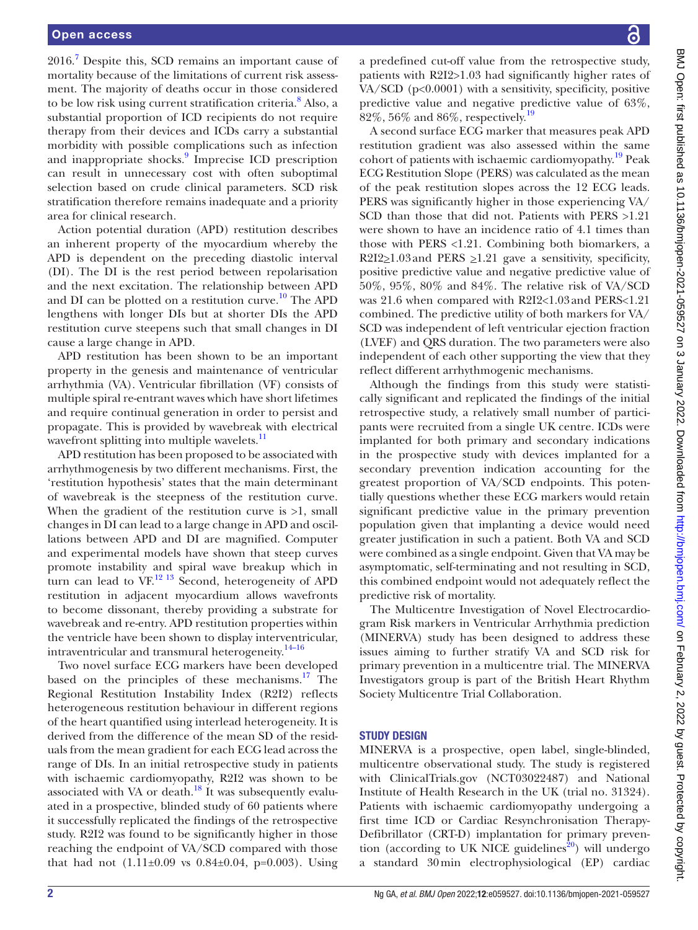2016.<sup>[7](#page-6-2)</sup> Despite this, SCD remains an important cause of mortality because of the limitations of current risk assessment. The majority of deaths occur in those considered to be low risk using current stratification criteria.<sup>[8](#page-6-3)</sup> Also, a substantial proportion of ICD recipients do not require therapy from their devices and ICDs carry a substantial morbidity with possible complications such as infection and inappropriate shocks.<sup>[9](#page-6-4)</sup> Imprecise ICD prescription can result in unnecessary cost with often suboptimal selection based on crude clinical parameters. SCD risk stratification therefore remains inadequate and a priority area for clinical research.

Action potential duration (APD) restitution describes an inherent property of the myocardium whereby the APD is dependent on the preceding diastolic interval (DI). The DI is the rest period between repolarisation and the next excitation. The relationship between APD and DI can be plotted on a restitution curve.<sup>10</sup> The APD lengthens with longer DIs but at shorter DIs the APD restitution curve steepens such that small changes in DI cause a large change in APD.

APD restitution has been shown to be an important property in the genesis and maintenance of ventricular arrhythmia (VA). Ventricular fibrillation (VF) consists of multiple spiral re-entrant waves which have short lifetimes and require continual generation in order to persist and propagate. This is provided by wavebreak with electrical wavefront splitting into multiple wavelets.<sup>[11](#page-6-6)</sup>

APD restitution has been proposed to be associated with arrhythmogenesis by two different mechanisms. First, the 'restitution hypothesis' states that the main determinant of wavebreak is the steepness of the restitution curve. When the gradient of the restitution curve is  $>1$ , small changes in DI can lead to a large change in APD and oscillations between APD and DI are magnified. Computer and experimental models have shown that steep curves promote instability and spiral wave breakup which in turn can lead to  $\overline{VF}^{12}$  13 Second, heterogeneity of APD restitution in adjacent myocardium allows wavefronts to become dissonant, thereby providing a substrate for wavebreak and re-entry. APD restitution properties within the ventricle have been shown to display interventricular, intraventricular and transmural heterogeneity.<sup>[14–16](#page-6-8)</sup>

Two novel surface ECG markers have been developed based on the principles of these mechanisms.<sup>17</sup> The Regional Restitution Instability Index (R2I2) reflects heterogeneous restitution behaviour in different regions of the heart quantified using interlead heterogeneity. It is derived from the difference of the mean SD of the residuals from the mean gradient for each ECG lead across the range of DIs. In an initial retrospective study in patients with ischaemic cardiomyopathy, R2I2 was shown to be associated with VA or death. $18$  It was subsequently evaluated in a prospective, blinded study of 60 patients where it successfully replicated the findings of the retrospective study. R2I2 was found to be significantly higher in those reaching the endpoint of VA/SCD compared with those that had not  $(1.11\pm0.09 \text{ vs } 0.84\pm0.04, \text{ p=0.003}).$  Using

a predefined cut-off value from the retrospective study, patients with R2I2>1.03 had significantly higher rates of VA/SCD (p<0.0001) with a sensitivity, specificity, positive predictive value and negative predictive value of 63%, 82%, 56% and 86%, respectively.[19](#page-6-11)

A second surface ECG marker that measures peak APD restitution gradient was also assessed within the same cohort of patients with ischaemic cardiomyopathy.<sup>[19](#page-6-11)</sup> Peak ECG Restitution Slope (PERS) was calculated as the mean of the peak restitution slopes across the 12 ECG leads. PERS was significantly higher in those experiencing VA/ SCD than those that did not. Patients with PERS >1.21 were shown to have an incidence ratio of 4.1 times than those with PERS <1.21. Combining both biomarkers, a R2I2 $\geq$ 1.03 and PERS  $\geq$ 1.21 gave a sensitivity, specificity, positive predictive value and negative predictive value of 50%, 95%, 80% and 84%. The relative risk of VA/SCD was 21.6 when compared with R2I2<1.03and PERS<1.21 combined. The predictive utility of both markers for VA/ SCD was independent of left ventricular ejection fraction (LVEF) and QRS duration. The two parameters were also independent of each other supporting the view that they reflect different arrhythmogenic mechanisms.

Although the findings from this study were statistically significant and replicated the findings of the initial retrospective study, a relatively small number of participants were recruited from a single UK centre. ICDs were implanted for both primary and secondary indications in the prospective study with devices implanted for a secondary prevention indication accounting for the greatest proportion of VA/SCD endpoints. This potentially questions whether these ECG markers would retain significant predictive value in the primary prevention population given that implanting a device would need greater justification in such a patient. Both VA and SCD were combined as a single endpoint. Given that VA may be asymptomatic, self-terminating and not resulting in SCD, this combined endpoint would not adequately reflect the predictive risk of mortality.

The Multicentre Investigation of Novel Electrocardiogram Risk markers in Ventricular Arrhythmia prediction (MINERVA) study has been designed to address these issues aiming to further stratify VA and SCD risk for primary prevention in a multicentre trial. The MINERVA Investigators group is part of the British Heart Rhythm Society Multicentre Trial Collaboration.

## STUDY DESIGN

MINERVA is a prospective, open label, single-blinded, multicentre observational study. The study is registered with ClinicalTrials.gov (NCT03022487) and National Institute of Health Research in the UK (trial no. 31324). Patients with ischaemic cardiomyopathy undergoing a first time ICD or Cardiac Resynchronisation Therapy-Defibrillator (CRT-D) implantation for primary prevention (according to UK NICE guidelines<sup>20</sup>) will undergo a standard 30min electrophysiological (EP) cardiac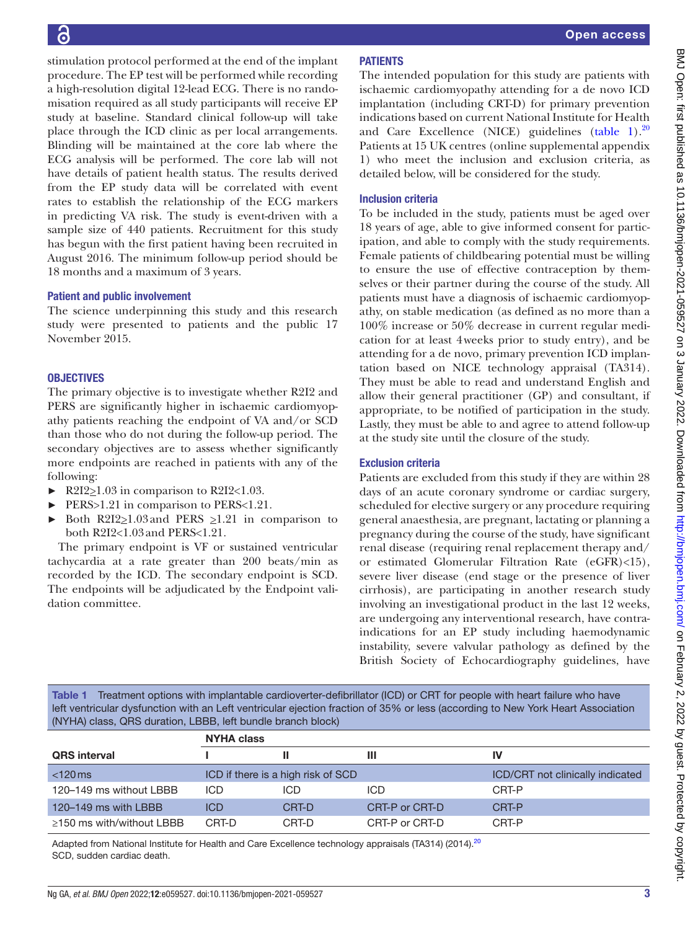stimulation protocol performed at the end of the implant procedure. The EP test will be performed while recording a high-resolution digital 12-lead ECG. There is no randomisation required as all study participants will receive EP study at baseline. Standard clinical follow-up will take place through the ICD clinic as per local arrangements. Blinding will be maintained at the core lab where the ECG analysis will be performed. The core lab will not have details of patient health status. The results derived from the EP study data will be correlated with event rates to establish the relationship of the ECG markers in predicting VA risk. The study is event-driven with a sample size of 440 patients. Recruitment for this study has begun with the first patient having been recruited in August 2016. The minimum follow-up period should be 18 months and a maximum of 3 years.

#### Patient and public involvement

The science underpinning this study and this research study were presented to patients and the public 17 November 2015.

#### **OBJECTIVES**

The primary objective is to investigate whether R2I2 and PERS are significantly higher in ischaemic cardiomyopathy patients reaching the endpoint of VA and/or SCD than those who do not during the follow-up period. The secondary objectives are to assess whether significantly more endpoints are reached in patients with any of the following:

- $\blacktriangleright$  R2I2\subset 2.03 in comparison to R2I2\subset R2I2\subset 0.03.
- PERS>1.21 in comparison to PERS<1.21.
- Both R2I2 $\geq$ 1.03 and PERS  $\geq$ 1.21 in comparison to both R2I2<1.03and PERS<1.21.

The primary endpoint is VF or sustained ventricular tachycardia at a rate greater than 200 beats/min as recorded by the ICD. The secondary endpoint is SCD. The endpoints will be adjudicated by the Endpoint validation committee.

## PATIENTS

The intended population for this study are patients with ischaemic cardiomyopathy attending for a de novo ICD implantation (including CRT-D) for primary prevention indications based on current National Institute for Health and Care Excellence (NICE) guidelines  $(table 1)$  $(table 1)$ .<sup>[20](#page-6-12)</sup> Patients at 15 UK centres ([online supplemental appendix](https://dx.doi.org/10.1136/bmjopen-2021-059527)  [1](https://dx.doi.org/10.1136/bmjopen-2021-059527)) who meet the inclusion and exclusion criteria, as detailed below, will be considered for the study.

#### Inclusion criteria

To be included in the study, patients must be aged over 18 years of age, able to give informed consent for participation, and able to comply with the study requirements. Female patients of childbearing potential must be willing to ensure the use of effective contraception by themselves or their partner during the course of the study. All patients must have a diagnosis of ischaemic cardiomyopathy, on stable medication (as defined as no more than a 100% increase or 50% decrease in current regular medication for at least 4weeks prior to study entry), and be attending for a de novo, primary prevention ICD implantation based on NICE technology appraisal (TA314). They must be able to read and understand English and allow their general practitioner (GP) and consultant, if appropriate, to be notified of participation in the study. Lastly, they must be able to and agree to attend follow-up at the study site until the closure of the study.

## Exclusion criteria

Patients are excluded from this study if they are within 28 days of an acute coronary syndrome or cardiac surgery, scheduled for elective surgery or any procedure requiring general anaesthesia, are pregnant, lactating or planning a pregnancy during the course of the study, have significant renal disease (requiring renal replacement therapy and/ or estimated Glomerular Filtration Rate (eGFR)<15), severe liver disease (end stage or the presence of liver cirrhosis), are participating in another research study involving an investigational product in the last 12 weeks, are undergoing any interventional research, have contraindications for an EP study including haemodynamic instability, severe valvular pathology as defined by the British Society of Echocardiography guidelines, have

<span id="page-2-0"></span>Table 1 Treatment options with implantable cardioverter-defibrillator (ICD) or CRT for people with heart failure who have left ventricular dysfunction with an Left ventricular ejection fraction of 35% or less (according to New York Heart Association (NYHA) class, QRS duration, LBBB, left bundle branch block)

|                                | <b>NYHA class</b> |                                    |                |                                  |
|--------------------------------|-------------------|------------------------------------|----------------|----------------------------------|
| <b>QRS</b> interval            |                   |                                    | Ш              | IV                               |
| $<$ 120 $ms$                   |                   | ICD if there is a high risk of SCD |                | ICD/CRT not clinically indicated |
| 120-149 ms without LBBB        | ICD               | ICD                                | <b>ICD</b>     | CRT-P                            |
| 120–149 ms with LBBB           | <b>ICD</b>        | CRT-D                              | CRT-P or CRT-D | CRT-P                            |
| $\ge$ 150 ms with/without LBBB | CRT-D             | CRT-D                              | CRT-P or CRT-D | CRT-P                            |
|                                |                   |                                    |                |                                  |

Adapted from National Institute for Health and Care Excellence technology appraisals (TA314) ([20](#page-6-12)14).<sup>20</sup> SCD, sudden cardiac death.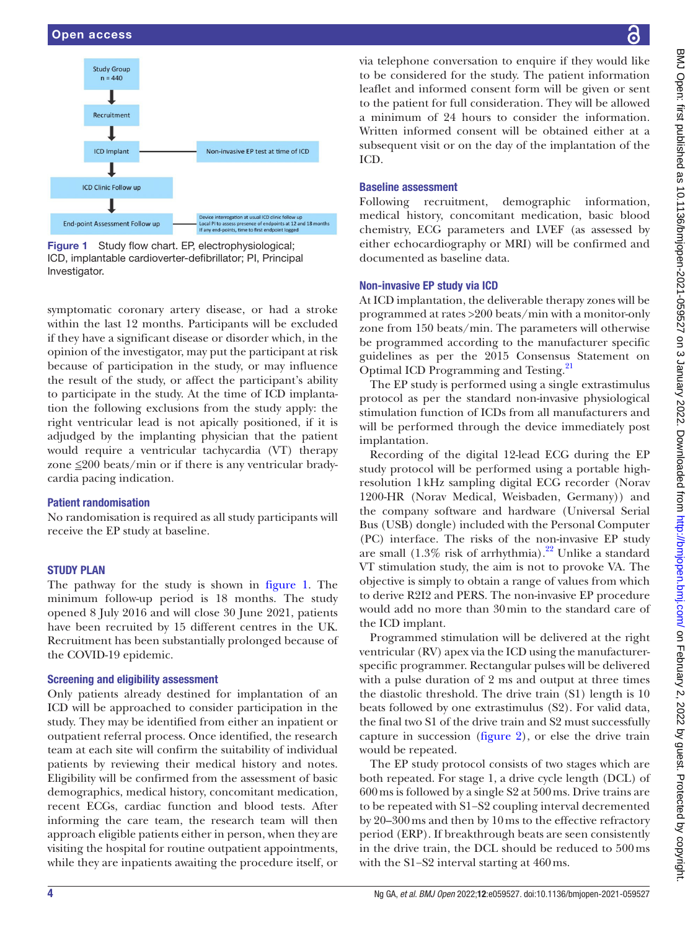

<span id="page-3-0"></span>Figure 1 Study flow chart. EP, electrophysiological; ICD, implantable cardioverter-defibrillator; PI, Principal Investigator.

symptomatic coronary artery disease, or had a stroke within the last 12 months. Participants will be excluded if they have a significant disease or disorder which, in the opinion of the investigator, may put the participant at risk because of participation in the study, or may influence the result of the study, or affect the participant's ability to participate in the study. At the time of ICD implantation the following exclusions from the study apply: the right ventricular lead is not apically positioned, if it is adjudged by the implanting physician that the patient would require a ventricular tachycardia (VT) therapy zone  $\leq 200$  beats/min or if there is any ventricular bradycardia pacing indication.

## Patient randomisation

No randomisation is required as all study participants will receive the EP study at baseline.

## **STUDY PLAN**

The pathway for the study is shown in [figure](#page-3-0) 1. The minimum follow-up period is 18 months. The study opened 8 July 2016 and will close 30 June 2021, patients have been recruited by 15 different centres in the UK. Recruitment has been substantially prolonged because of the COVID-19 epidemic.

## Screening and eligibility assessment

Only patients already destined for implantation of an ICD will be approached to consider participation in the study. They may be identified from either an inpatient or outpatient referral process. Once identified, the research team at each site will confirm the suitability of individual patients by reviewing their medical history and notes. Eligibility will be confirmed from the assessment of basic demographics, medical history, concomitant medication, recent ECGs, cardiac function and blood tests. After informing the care team, the research team will then approach eligible patients either in person, when they are visiting the hospital for routine outpatient appointments, while they are inpatients awaiting the procedure itself, or

via telephone conversation to enquire if they would like to be considered for the study. The patient information leaflet and informed consent form will be given or sent to the patient for full consideration. They will be allowed a minimum of 24 hours to consider the information. Written informed consent will be obtained either at a subsequent visit or on the day of the implantation of the ICD.

## Baseline assessment

Following recruitment, demographic information, medical history, concomitant medication, basic blood chemistry, ECG parameters and LVEF (as assessed by either echocardiography or MRI) will be confirmed and documented as baseline data.

## Non-invasive EP study via ICD

At ICD implantation, the deliverable therapy zones will be programmed at rates >200 beats/min with a monitor-only zone from 150 beats/min. The parameters will otherwise be programmed according to the manufacturer specific guidelines as per the 2015 Consensus Statement on Optimal ICD Programming and Testing.<sup>21</sup>

The EP study is performed using a single extrastimulus protocol as per the standard non-invasive physiological stimulation function of ICDs from all manufacturers and will be performed through the device immediately post implantation.

Recording of the digital 12-lead ECG during the EP study protocol will be performed using a portable highresolution 1kHz sampling digital ECG recorder (Norav 1200-HR (Norav Medical, Weisbaden, Germany)) and the company software and hardware (Universal Serial Bus (USB) dongle) included with the Personal Computer (PC) interface. The risks of the non-invasive EP study are small  $(1.3\%$  risk of arrhythmia).<sup>22</sup> Unlike a standard VT stimulation study, the aim is not to provoke VA. The objective is simply to obtain a range of values from which to derive R2I2 and PERS. The non-invasive EP procedure would add no more than 30min to the standard care of the ICD implant.

Programmed stimulation will be delivered at the right ventricular (RV) apex via the ICD using the manufacturerspecific programmer. Rectangular pulses will be delivered with a pulse duration of 2 ms and output at three times the diastolic threshold. The drive train (S1) length is 10 beats followed by one extrastimulus (S2). For valid data, the final two S1 of the drive train and S2 must successfully capture in succession [\(figure](#page-4-0) 2), or else the drive train would be repeated.

The EP study protocol consists of two stages which are both repeated. For stage 1, a drive cycle length (DCL) of 600ms is followed by a single S2 at 500ms. Drive trains are to be repeated with S1−S2 coupling interval decremented by 20–300ms and then by 10ms to the effective refractory period (ERP). If breakthrough beats are seen consistently in the drive train, the DCL should be reduced to 500ms with the S1−S2 interval starting at 460ms.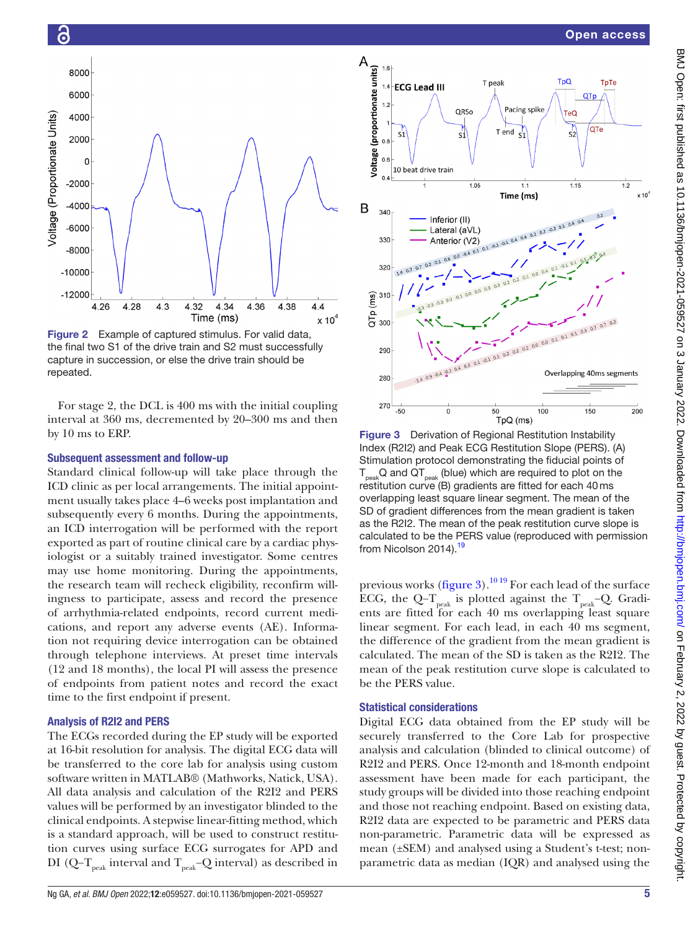#### Open access





<span id="page-4-0"></span>Figure 2 Example of captured stimulus. For valid data, the final two S1 of the drive train and S2 must successfully capture in succession, or else the drive train should be repeated.

For stage 2, the DCL is 400 ms with the initial coupling interval at 360 ms, decremented by 20–300 ms and then by 10 ms to ERP.

#### Subsequent assessment and follow-up

6

Standard clinical follow-up will take place through the ICD clinic as per local arrangements. The initial appointment usually takes place 4–6 weeks post implantation and subsequently every 6 months. During the appointments, an ICD interrogation will be performed with the report exported as part of routine clinical care by a cardiac physiologist or a suitably trained investigator. Some centres may use home monitoring. During the appointments, the research team will recheck eligibility, reconfirm willingness to participate, assess and record the presence of arrhythmia-related endpoints, record current medications, and report any adverse events (AE). Information not requiring device interrogation can be obtained through telephone interviews. At preset time intervals (12 and 18 months), the local PI will assess the presence of endpoints from patient notes and record the exact time to the first endpoint if present.

#### Analysis of R2I2 and PERS

The ECGs recorded during the EP study will be exported at 16-bit resolution for analysis. The digital ECG data will be transferred to the core lab for analysis using custom software written in MATLAB® (Mathworks, Natick, USA). All data analysis and calculation of the R2I2 and PERS values will be performed by an investigator blinded to the clinical endpoints. A stepwise linear-fitting method, which is a standard approach, will be used to construct restitution curves using surface ECG surrogates for APD and DI (Q–T<sub>peak</sub> interval and T<sub>peak</sub>–Q interval) as described in



<span id="page-4-1"></span>Figure 3 Derivation of Regional Restitution Instability Index (R2I2) and Peak ECG Restitution Slope (PERS). (A) Stimulation protocol demonstrating the fiducial points of  $T_{peak}$ Q and QT $_{peak}$  (blue) which are required to plot on the restitution curve (B) gradients are fitted for each 40ms overlapping least square linear segment. The mean of the SD of gradient differences from the mean gradient is taken as the R2I2. The mean of the peak restitution curve slope is calculated to be the PERS value (reproduced with permission from Nicolson 2014).<sup>[19](#page-6-11)</sup>

previous works [\(figure](#page-4-1) 3).<sup>1019</sup> For each lead of the surface ECG, the Q-T<sub>peak</sub> is plotted against the T<sub>peak</sub>-Q. Gradients are fitted for each 40 ms overlapping least square linear segment. For each lead, in each 40 ms segment, the difference of the gradient from the mean gradient is calculated. The mean of the SD is taken as the R2I2. The mean of the peak restitution curve slope is calculated to be the PERS value.

#### Statistical considerations

Digital ECG data obtained from the EP study will be securely transferred to the Core Lab for prospective analysis and calculation (blinded to clinical outcome) of R2I2 and PERS. Once 12-month and 18-month endpoint assessment have been made for each participant, the study groups will be divided into those reaching endpoint and those not reaching endpoint. Based on existing data, R2I2 data are expected to be parametric and PERS data non-parametric. Parametric data will be expressed as mean (±SEM) and analysed using a Student's t-test; nonparametric data as median (IQR) and analysed using the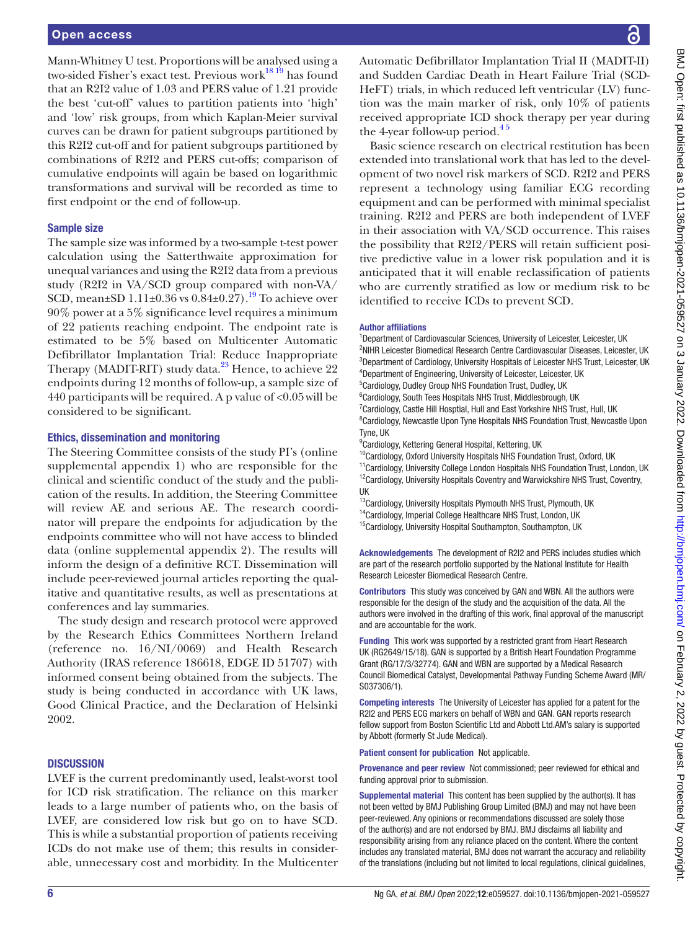Mann-Whitney U test. Proportions will be analysed using a two-sided Fisher's exact test. Previous work<sup>18 19</sup> has found that an R2I2 value of 1.03 and PERS value of 1.21 provide the best 'cut-off' values to partition patients into 'high' and 'low' risk groups, from which Kaplan-Meier survival curves can be drawn for patient subgroups partitioned by this R2I2 cut-off and for patient subgroups partitioned by combinations of R2I2 and PERS cut-offs; comparison of cumulative endpoints will again be based on logarithmic transformations and survival will be recorded as time to first endpoint or the end of follow-up.

#### Sample size

The sample size was informed by a two-sample t-test power calculation using the Satterthwaite approximation for unequal variances and using the R2I2 data from a previous study (R2I2 in VA/SCD group compared with non-VA/ SCD, mean $\pm$ SD 1.11 $\pm$ 0.36 vs 0.84 $\pm$ 0.27).<sup>19</sup> To achieve over 90% power at a 5% significance level requires a minimum of 22 patients reaching endpoint. The endpoint rate is estimated to be 5% based on Multicenter Automatic Defibrillator Implantation Trial: Reduce Inappropriate Therapy (MADIT-RIT) study data.<sup>[23](#page-6-15)</sup> Hence, to achieve 22 endpoints during 12 months of follow-up, a sample size of 440 participants will be required. A p value of <0.05will be considered to be significant.

#### Ethics, dissemination and monitoring

The Steering Committee consists of the study PI's [\(online](https://dx.doi.org/10.1136/bmjopen-2021-059527) [supplemental appendix 1](https://dx.doi.org/10.1136/bmjopen-2021-059527)) who are responsible for the clinical and scientific conduct of the study and the publication of the results. In addition, the Steering Committee will review AE and serious AE. The research coordinator will prepare the endpoints for adjudication by the endpoints committee who will not have access to blinded data ([online supplemental appendix 2\)](https://dx.doi.org/10.1136/bmjopen-2021-059527). The results will inform the design of a definitive RCT. Dissemination will include peer-reviewed journal articles reporting the qualitative and quantitative results, as well as presentations at conferences and lay summaries.

The study design and research protocol were approved by the Research Ethics Committees Northern Ireland (reference no. 16/NI/0069) and Health Research Authority (IRAS reference 186618, EDGE ID 51707) with informed consent being obtained from the subjects. The study is being conducted in accordance with UK laws, Good Clinical Practice, and the Declaration of Helsinki 2002.

## **DISCUSSION**

LVEF is the current predominantly used, lealst-worst tool for ICD risk stratification. The reliance on this marker leads to a large number of patients who, on the basis of LVEF, are considered low risk but go on to have SCD. This is while a substantial proportion of patients receiving ICDs do not make use of them; this results in considerable, unnecessary cost and morbidity. In the Multicenter

Automatic Defibrillator Implantation Trial II (MADIT-II) and Sudden Cardiac Death in Heart Failure Trial (SCD-HeFT) trials, in which reduced left ventricular (LV) function was the main marker of risk, only 10% of patients received appropriate ICD shock therapy per year during the 4-year follow-up period. $4<sup>5</sup>$ 

Basic science research on electrical restitution has been extended into translational work that has led to the development of two novel risk markers of SCD. R2I2 and PERS represent a technology using familiar ECG recording equipment and can be performed with minimal specialist training. R2I2 and PERS are both independent of LVEF in their association with VA/SCD occurrence. This raises the possibility that R2I2/PERS will retain sufficient positive predictive value in a lower risk population and it is anticipated that it will enable reclassification of patients who are currently stratified as low or medium risk to be identified to receive ICDs to prevent SCD.

#### Author affiliations

<sup>1</sup>Department of Cardiovascular Sciences, University of Leicester, Leicester, UK <sup>2</sup>NIHR Leicester Biomedical Research Centre Cardiovascular Diseases, Leicester, UK <sup>3</sup>Department of Cardiology, University Hospitals of Leicester NHS Trust, Leicester, UK 4 Department of Engineering, University of Leicester, Leicester, UK 5 Cardiology, Dudley Group NHS Foundation Trust, Dudley, UK

<sup>6</sup>Cardiology, South Tees Hospitals NHS Trust, Middlesbrough, UK

<sup>7</sup> Cardiology, Castle Hill Hosptial, Hull and East Yorkshire NHS Trust, Hull, UK <sup>8</sup> Cardiology, Newcastle Upon Tyne Hospitals NHS Foundation Trust, Newcastle Upon Tyne, UK

<sup>9</sup> Cardiology, Kettering General Hospital, Kettering, UK

- <sup>10</sup>Cardiology, Oxford University Hospitals NHS Foundation Trust, Oxford, UK
- <sup>11</sup>Cardiology, University College London Hospitals NHS Foundation Trust, London, UK <sup>12</sup>Cardiology, University Hospitals Coventry and Warwickshire NHS Trust, Coventry, UK
- 13Cardiology, University Hospitals Plymouth NHS Trust, Plymouth, UK
- <sup>14</sup>Cardiology, Imperial College Healthcare NHS Trust, London, UK
- <sup>15</sup>Cardiology, University Hospital Southampton, Southampton, UK

Acknowledgements The development of R2I2 and PERS includes studies which are part of the research portfolio supported by the National Institute for Health Research Leicester Biomedical Research Centre.

Contributors This study was conceived by GAN and WBN. All the authors were responsible for the design of the study and the acquisition of the data. All the authors were involved in the drafting of this work, final approval of the manuscript and are accountable for the work.

Funding This work was supported by a restricted grant from Heart Research UK (RG2649/15/18). GAN is supported by a British Heart Foundation Programme Grant (RG/17/3/32774). GAN and WBN are supported by a Medical Research Council Biomedical Catalyst, Developmental Pathway Funding Scheme Award (MR/ S037306/1).

**Competing interests** The University of Leicester has applied for a patent for the R2I2 and PERS ECG markers on behalf of WBN and GAN. GAN reports research fellow support from Boston Scientific Ltd and Abbott Ltd.AM's salary is supported by Abbott (formerly St Jude Medical).

Patient consent for publication Not applicable.

Provenance and peer review Not commissioned; peer reviewed for ethical and funding approval prior to submission.

Supplemental material This content has been supplied by the author(s). It has not been vetted by BMJ Publishing Group Limited (BMJ) and may not have been peer-reviewed. Any opinions or recommendations discussed are solely those of the author(s) and are not endorsed by BMJ. BMJ disclaims all liability and responsibility arising from any reliance placed on the content. Where the content includes any translated material, BMJ does not warrant the accuracy and reliability of the translations (including but not limited to local regulations, clinical guidelines,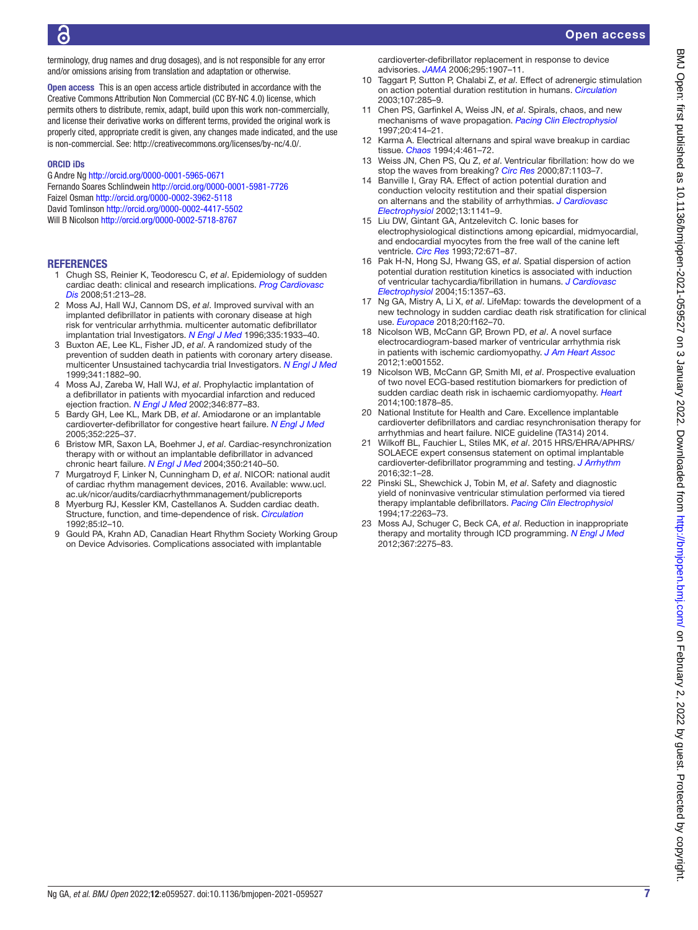terminology, drug names and drug dosages), and is not responsible for any error and/or omissions arising from translation and adaptation or otherwise.

Open access This is an open access article distributed in accordance with the Creative Commons Attribution Non Commercial (CC BY-NC 4.0) license, which permits others to distribute, remix, adapt, build upon this work non-commercially, and license their derivative works on different terms, provided the original work is properly cited, appropriate credit is given, any changes made indicated, and the use is non-commercial. See: <http://creativecommons.org/licenses/by-nc/4.0/>.

#### ORCID iDs

G Andre Ng <http://orcid.org/0000-0001-5965-0671> Fernando Soares Schlindwein <http://orcid.org/0000-0001-5981-7726> Faizel Osman <http://orcid.org/0000-0002-3962-5118> David Tomlinson <http://orcid.org/0000-0002-4417-5502> Will B Nicolson<http://orcid.org/0000-0002-5718-8767>

#### **REFERENCES**

- <span id="page-6-0"></span>1 Chugh SS, Reinier K, Teodorescu C, *et al*. Epidemiology of sudden cardiac death: clinical and research implications. *[Prog Cardiovasc](http://dx.doi.org/10.1016/j.pcad.2008.06.003)  [Dis](http://dx.doi.org/10.1016/j.pcad.2008.06.003)* 2008;51:213–28.
- <span id="page-6-1"></span>2 Moss AJ, Hall WJ, Cannom DS, *et al*. Improved survival with an implanted defibrillator in patients with coronary disease at high risk for ventricular arrhythmia. multicenter automatic defibrillator implantation trial Investigators. *[N Engl J Med](http://dx.doi.org/10.1056/NEJM199612263352601)* 1996;335:1933–40.
- 3 Buxton AE, Lee KL, Fisher JD, *et al*. A randomized study of the prevention of sudden death in patients with coronary artery disease. multicenter Unsustained tachycardia trial Investigators. *[N Engl J Med](http://dx.doi.org/10.1056/NEJM199912163412503)* 1999;341:1882–90.
- <span id="page-6-16"></span>4 Moss AJ, Zareba W, Hall WJ, *et al*. Prophylactic implantation of a defibrillator in patients with myocardial infarction and reduced ejection fraction. *[N Engl J Med](http://dx.doi.org/10.1056/NEJMoa013474)* 2002;346:877–83.
- 5 Bardy GH, Lee KL, Mark DB, *et al*. Amiodarone or an implantable cardioverter-defibrillator for congestive heart failure. *[N Engl J Med](http://dx.doi.org/10.1056/NEJMoa043399)* 2005;352:225–37.
- 6 Bristow MR, Saxon LA, Boehmer J, *et al*. Cardiac-resynchronization therapy with or without an implantable defibrillator in advanced chronic heart failure. *[N Engl J Med](http://dx.doi.org/10.1056/NEJMoa032423)* 2004;350:2140–50.
- <span id="page-6-2"></span>7 Murgatroyd F, Linker N, Cunningham D, *et al*. NICOR: national audit of cardiac rhythm management devices, 2016. Available: [www.ucl.](www.ucl.ac.uk/nicor/audits/cardiacrhythmmanagement/publicreports) [ac.uk/nicor/audits/cardiacrhythmmanagement/publicreports](www.ucl.ac.uk/nicor/audits/cardiacrhythmmanagement/publicreports)
- <span id="page-6-3"></span>8 Myerburg RJ, Kessler KM, Castellanos A. Sudden cardiac death. Structure, function, and time-dependence of risk. *[Circulation](http://www.ncbi.nlm.nih.gov/pubmed/1728501)* 1992;85:I2–10.
- <span id="page-6-4"></span>9 Gould PA, Krahn AD, Canadian Heart Rhythm Society Working Group on Device Advisories. Complications associated with implantable

cardioverter-defibrillator replacement in response to device advisories. *[JAMA](http://dx.doi.org/10.1001/jama.295.16.1907)* 2006;295:1907–11.

- <span id="page-6-5"></span>10 Taggart P, Sutton P, Chalabi Z, *et al*. Effect of adrenergic stimulation on action potential duration restitution in humans. *[Circulation](http://dx.doi.org/10.1161/01.CIR.0000044941.13346.74)* 2003;107:285–9.
- <span id="page-6-6"></span>11 Chen PS, Garfinkel A, Weiss JN, *et al*. Spirals, chaos, and new mechanisms of wave propagation. *[Pacing Clin Electrophysiol](http://dx.doi.org/10.1111/j.1540-8159.1997.tb06200.x)* 1997;20:414–21.
- <span id="page-6-7"></span>12 Karma A. Electrical alternans and spiral wave breakup in cardiac tissue. *[Chaos](http://dx.doi.org/10.1063/1.166024)* 1994;4:461–72.
- 13 Weiss JN, Chen PS, Qu Z, *et al*. Ventricular fibrillation: how do we stop the waves from breaking? *[Circ Res](http://dx.doi.org/10.1161/01.res.87.12.1103)* 2000;87:1103–7.
- <span id="page-6-8"></span>14 Banville I, Gray RA. Effect of action potential duration and conduction velocity restitution and their spatial dispersion on alternans and the stability of arrhythmias. *[J Cardiovasc](http://dx.doi.org/10.1046/j.1540-8167.2002.01141.x)  [Electrophysiol](http://dx.doi.org/10.1046/j.1540-8167.2002.01141.x)* 2002;13:1141–9.
- 15 Liu DW, Gintant GA, Antzelevitch C. Ionic bases for electrophysiological distinctions among epicardial, midmyocardial, and endocardial myocytes from the free wall of the canine left ventricle. *[Circ Res](http://dx.doi.org/10.1161/01.RES.72.3.671)* 1993;72:671–87.
- 16 Pak H-N, Hong SJ, Hwang GS, *et al*. Spatial dispersion of action potential duration restitution kinetics is associated with induction of ventricular tachycardia/fibrillation in humans. *[J Cardiovasc](http://dx.doi.org/10.1046/j.1540-8167.2004.03569.x)  [Electrophysiol](http://dx.doi.org/10.1046/j.1540-8167.2004.03569.x)* 2004;15:1357–63.
- <span id="page-6-9"></span>17 Ng GA, Mistry A, Li X, *et al*. LifeMap: towards the development of a new technology in sudden cardiac death risk stratification for clinical use. *[Europace](http://dx.doi.org/10.1093/europace/euy080)* 2018;20:f162–70.
- <span id="page-6-10"></span>18 Nicolson WB, McCann GP, Brown PD, *et al*. A novel surface electrocardiogram-based marker of ventricular arrhythmia risk in patients with ischemic cardiomyopathy. *[J Am Heart Assoc](http://dx.doi.org/10.1161/JAHA.112.001552)* 2012;1:e001552.
- <span id="page-6-11"></span>19 Nicolson WB, McCann GP, Smith MI, *et al*. Prospective evaluation of two novel ECG-based restitution biomarkers for prediction of sudden cardiac death risk in ischaemic cardiomyopathy. *[Heart](http://dx.doi.org/10.1136/heartjnl-2014-305672)* 2014;100:1878–85.
- <span id="page-6-12"></span>20 National Institute for Health and Care. Excellence implantable cardioverter defibrillators and cardiac resynchronisation therapy for arrhythmias and heart failure. NICE guideline (TA314) 2014.
- <span id="page-6-13"></span>21 Wilkoff BL, Fauchier L, Stiles MK, *et al*. 2015 HRS/EHRA/APHRS/ SOLAECE expert consensus statement on optimal implantable cardioverter-defibrillator programming and testing. *[J Arrhythm](http://dx.doi.org/10.1016/j.joa.2015.12.001)* 2016;32:1–28.
- <span id="page-6-14"></span>22 Pinski SL, Shewchick J, Tobin M, *et al*. Safety and diagnostic yield of noninvasive ventricular stimulation performed via tiered therapy implantable defibrillators. *[Pacing Clin Electrophysiol](http://dx.doi.org/10.1111/j.1540-8159.1994.tb02374.x)* 1994;17:2263–73.
- <span id="page-6-15"></span>23 Moss AJ, Schuger C, Beck CA, *et al*. Reduction in inappropriate therapy and mortality through ICD programming. *[N Engl J Med](http://dx.doi.org/10.1056/NEJMoa1211107)* 2012;367:2275–83.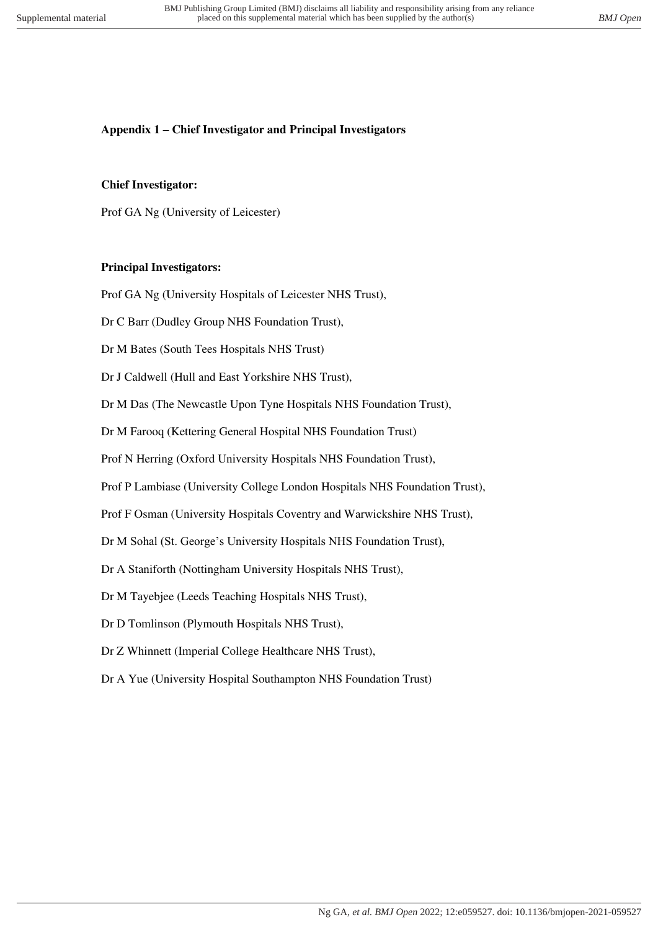# **Appendix 1 – Chief Investigator and Principal Investigators**

# **Chief Investigator:**

Prof GA Ng (University of Leicester)

# **Principal Investigators:**

Prof GA Ng (University Hospitals of Leicester NHS Trust),

Dr C Barr (Dudley Group NHS Foundation Trust),

Dr M Bates (South Tees Hospitals NHS Trust)

Dr J Caldwell (Hull and East Yorkshire NHS Trust),

Dr M Das (The Newcastle Upon Tyne Hospitals NHS Foundation Trust),

Dr M Farooq (Kettering General Hospital NHS Foundation Trust)

Prof N Herring (Oxford University Hospitals NHS Foundation Trust),

Prof P Lambiase (University College London Hospitals NHS Foundation Trust),

Prof F Osman (University Hospitals Coventry and Warwickshire NHS Trust),

Dr M Sohal (St. George's University Hospitals NHS Foundation Trust),

Dr A Staniforth (Nottingham University Hospitals NHS Trust),

Dr M Tayebjee (Leeds Teaching Hospitals NHS Trust),

Dr D Tomlinson (Plymouth Hospitals NHS Trust),

Dr Z Whinnett (Imperial College Healthcare NHS Trust),

Dr A Yue (University Hospital Southampton NHS Foundation Trust)